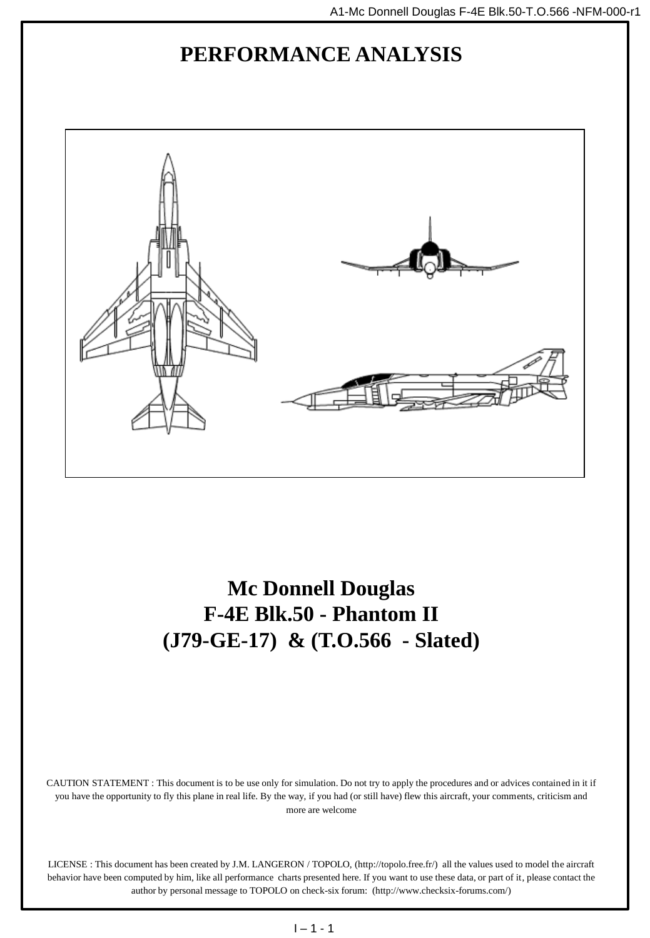# **PERFORMANCE ANALYSIS**



**Mc Donnell Douglas F-4E Blk.50 - Phantom II (J79-GE-17) & (T.O.566 - Slated)**

CAUTION STATEMENT : This document is to be use only for simulation. Do not try to apply the procedures and or advices contained in it if you have the opportunity to fly this plane in real life. By the way, if you had (or still have) flew this aircraft, your comments, criticism and more are welcome

LICENSE : This document has been created by J.M. LANGERON / TOPOLO, (http://topolo.free.fr/) all the values used to model the aircraft behavior have been computed by him, like all performance charts presented here. If you want to use these data, or part of it, please contact the author by personal message to TOPOLO on check-six forum: (http://www.checksix-forums.com/)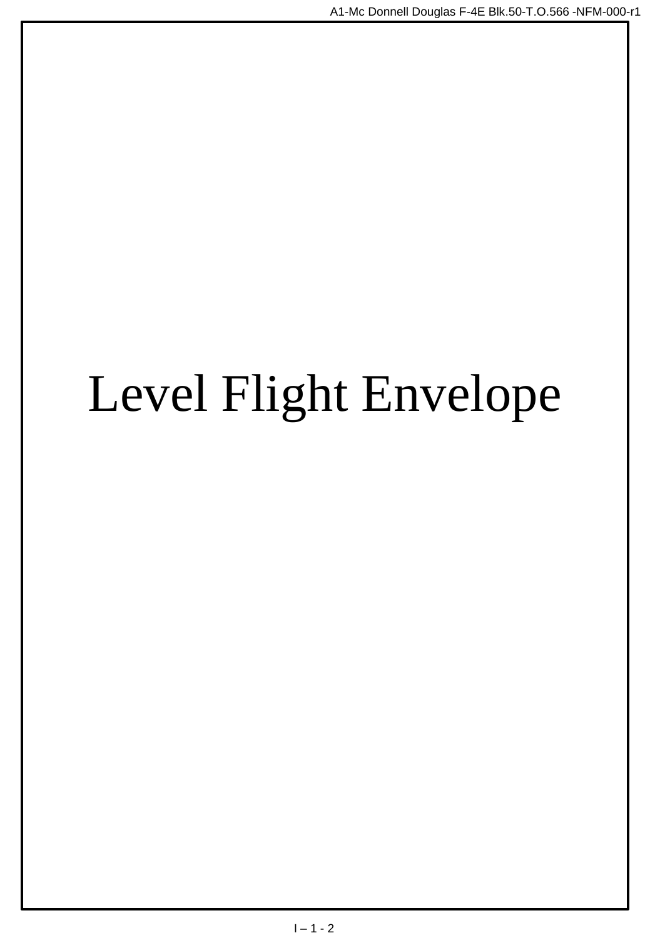# Level Flight Envelope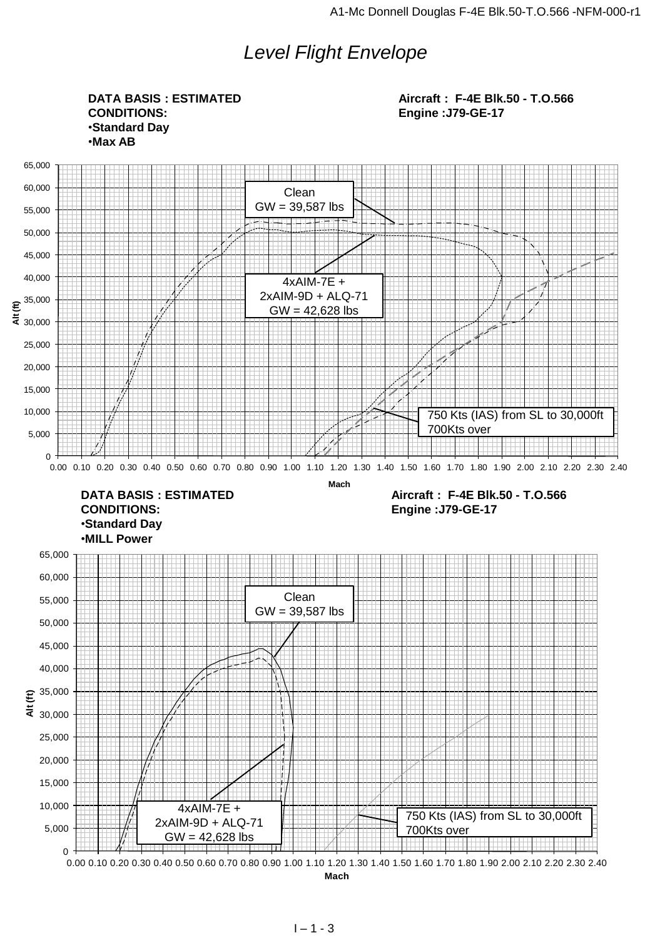# *Level Flight Envelope*

0 5,000 10,000 15,000 20,000 25,000 30,000 35,000 40,000 45,000 50,000 55,000 60,000 65,000  $\frac{25,000}{25,000}$ <br>  $\frac{25,000}{20,000}$ <br>  $\frac{4 \times \text{AlM-7E +}}{4 \times \text{AlM-7E +}}$ <br>  $\frac{5,000}{0}$ <br>  $\frac{4 \times \text{AlM-7E +}}{600}$ <br>  $\frac{2 \times \text{AlM-9D + Al-Q-71}}{600}$ <br>  $\frac{2 \times \text{AlM-9D + Al-Q-71}}{6000}$ <br>  $\frac{600}{4000.100.20}$ <br>  $\frac{2 \times \text{AlM-9D + Al-Q-71$ **Level Flight Enveloppe** 0 5,000 10,000 15,000 20,000 25,000 30,000 35,000 40,000 45,000 50,000 55,000 60,000 65,000 0.00 0.10 0.20 0.30 0.40 0.50 0.60 0.70 0.80 0.90 1.00 1.10 1.20 1.30 1.40 1.50 1.60 1.70 1.80 1.90 2.00 2.10 2.20 2.30 2.40 **Alt (ft) Mach DATA BASIS : ESTIMATED CONDITIONS:** •**Standard Day** •**Max AB Aircraft : F-4E Blk.50 - T.O.566 Engine :J79-GE-17 DATA BASIS : ESTIMATED CONDITIONS:** •**Standard Day** •**MILL Power Aircraft : F-4E Blk.50 - T.O.566 Engine :J79-GE-17** Clean GW = 39,587 lbs 4xAIM-7E + 2xAIM-9D + ALQ-71 GW = 42,628 lbs 750 Kts (IAS) from SL to 30,000ft 700Kts over Clean GW = 39,587 lbs 4xAIM-7E + 2xAIM-9D + ALQ-71 GW = 42,628 lbs 750 Kts (IAS) from SL to 30,000ft 700Kts over

**Mach**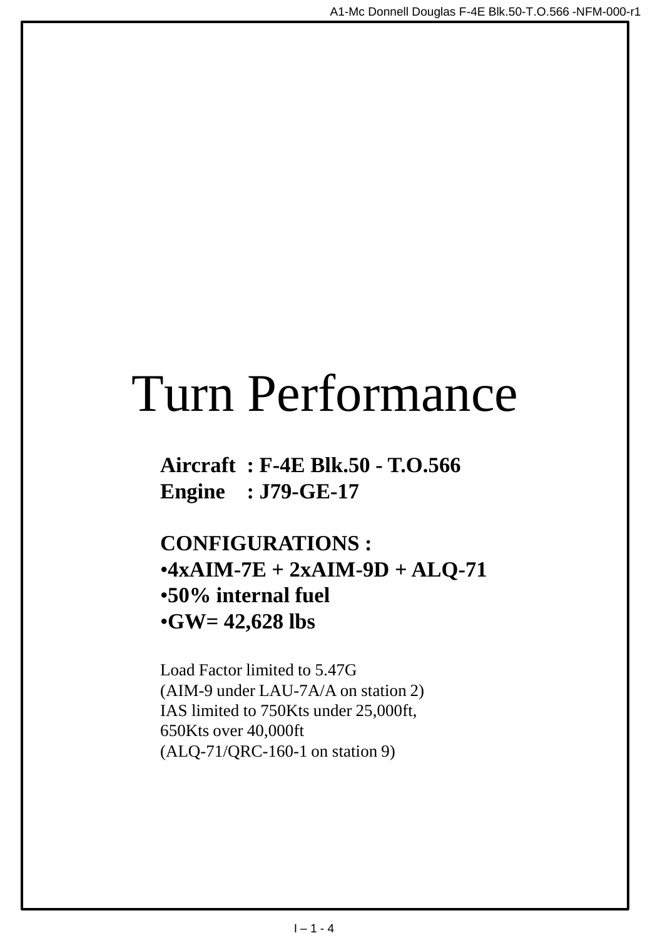# Turn Performance

**Aircraft : F-4E Blk.50 - T.O.566 Engine : J79-GE-17**

**CONFIGURATIONS :** •**4xAIM-7E + 2xAIM-9D + ALQ-71** •**50% internal fuel** •**GW= 42,628 lbs**

Load Factor limited to 5.47G (AIM-9 under LAU-7A/A on station 2) IAS limited to 750Kts under 25,000ft, 650Kts over 40,000ft (ALQ-71/QRC-160-1 on station 9)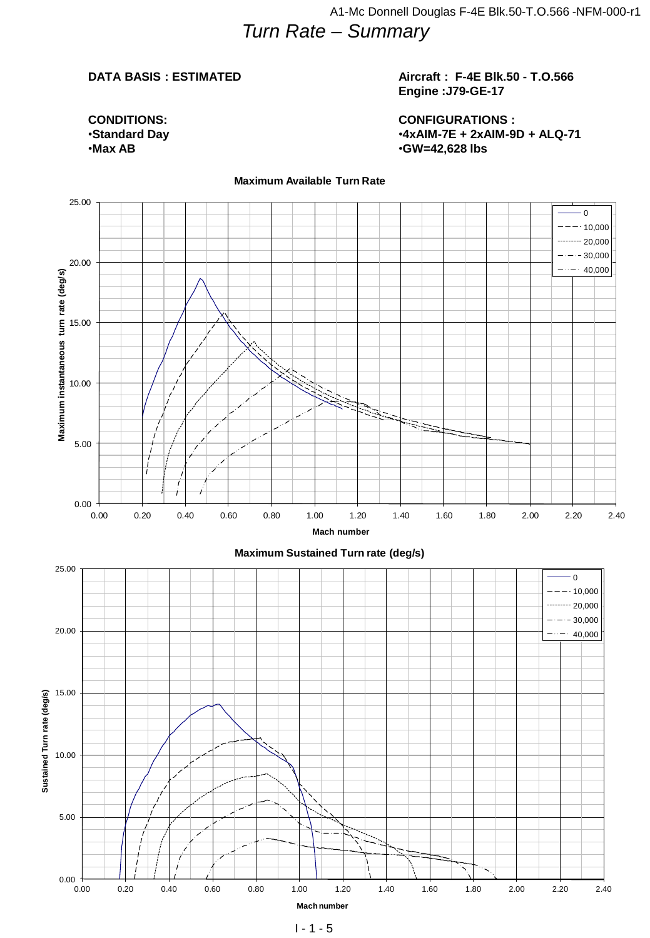### **Aircraft : F-4E Blk.50 - T.O.566 Engine :J79-GE-17**

**CONDITIONS:** •**Standard Day** •**Max AB**

**CONFIGURATIONS :** •**4xAIM-7E + 2xAIM-9D + ALQ-71** •**GW=42,628 lbs**



#### **Maximum Available Turn Rate**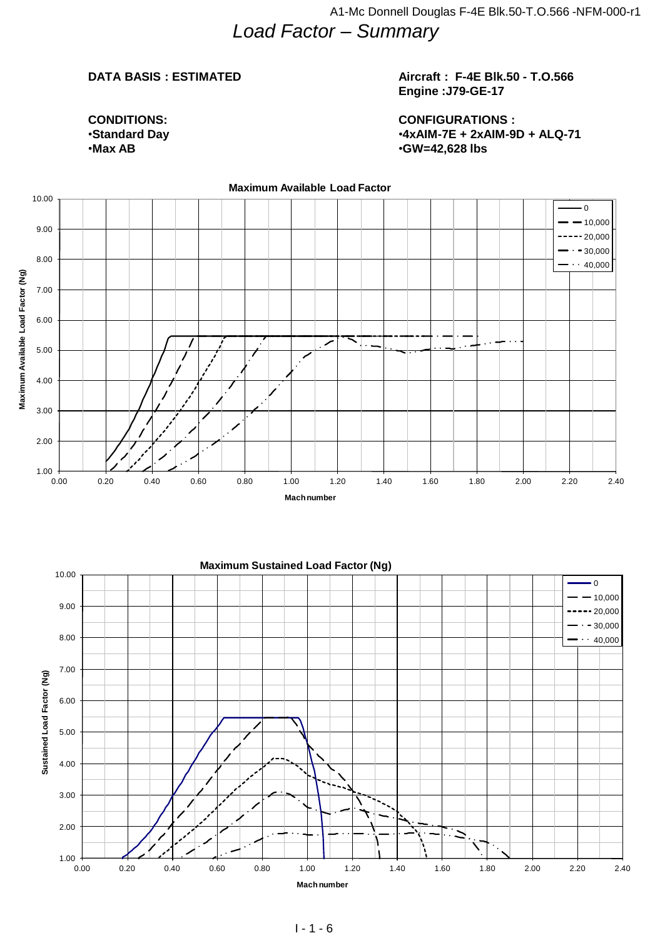### **Aircraft : F-4E Blk.50 - T.O.566 Engine :J79-GE-17**

**CONDITIONS:** •**Standard Day** •**Max AB**

**CONFIGURATIONS :** •**4xAIM-7E + 2xAIM-9D + ALQ-71** •**GW=42,628 lbs**

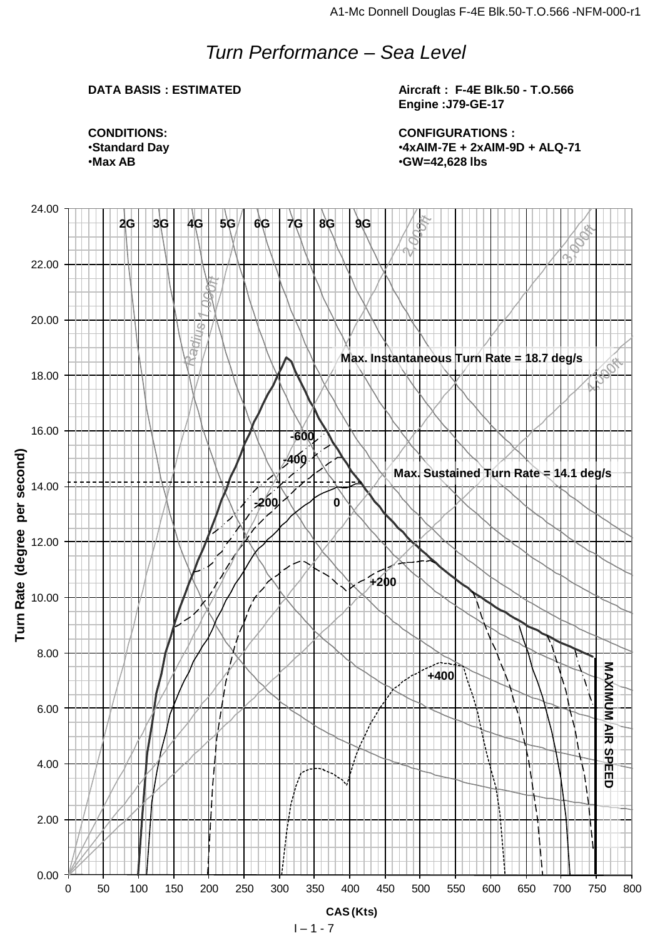# *Turn Performance – Sea Level*

### **DATA BASIS : ESTIMATED**

**Aircraft : F-4E Blk.50 - T.O.566 Engine :J79-GE-17**

**CONFIGURATIONS :** •**4xAIM-7E + 2xAIM-9D + ALQ-71** •**GW=42,628 lbs**

**CONDITIONS:** •**Standard Day** •**Max AB**

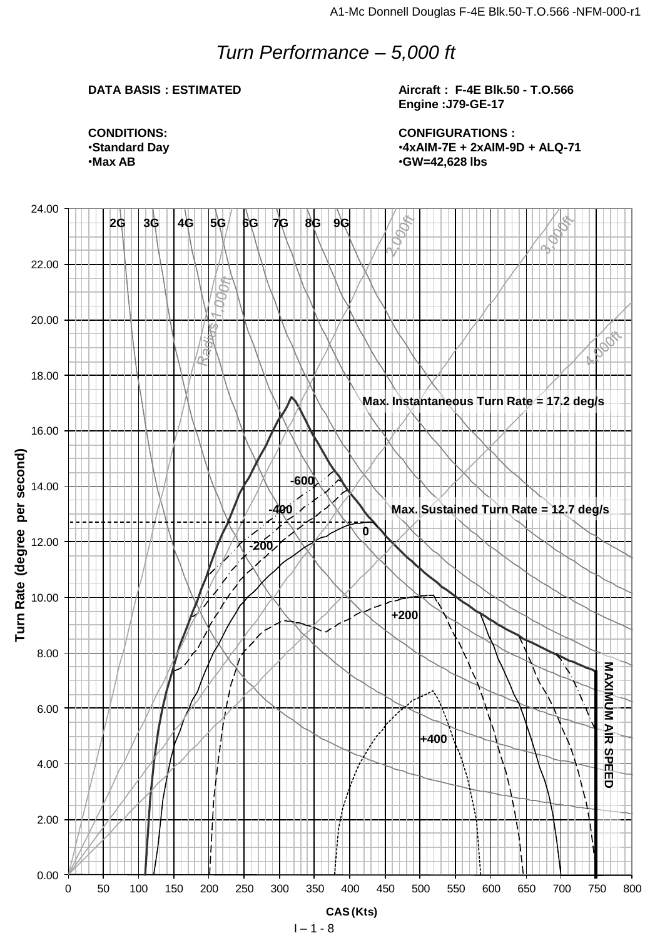# *Turn Performance – 5,000 ft*

### **DATA BASIS : ESTIMATED**

**Aircraft : F-4E Blk.50 - T.O.566 Engine :J79-GE-17**

**CONFIGURATIONS :** •**4xAIM-7E + 2xAIM-9D + ALQ-71** •**GW=42,628 lbs**

**CONDITIONS:** •**Standard Day** •**Max AB**

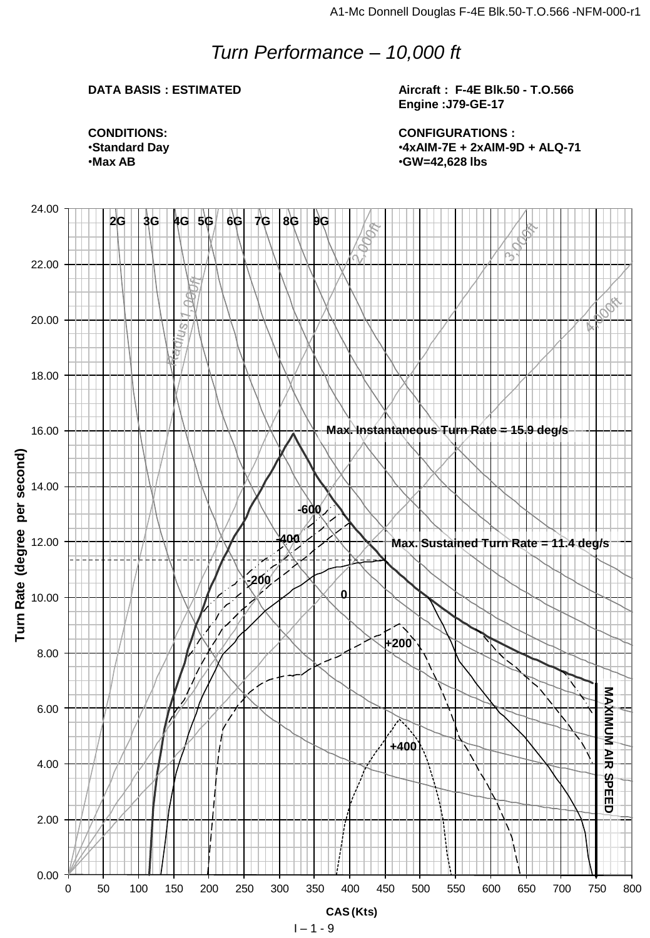# *Turn Performance – 10,000 ft*

### **DATA BASIS : ESTIMATED**

**Aircraft : F-4E Blk.50 - T.O.566 Engine :J79-GE-17**

**CONFIGURATIONS :** •**4xAIM-7E + 2xAIM-9D + ALQ-71** •**GW=42,628 lbs**

**CONDITIONS:** •**Standard Day** •**Max AB**

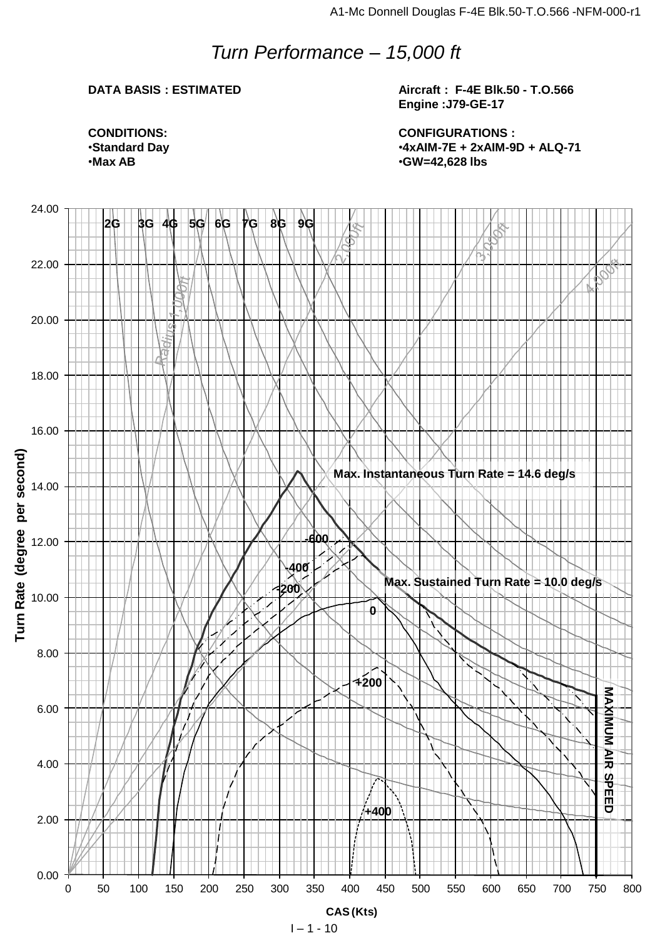# *Turn Performance – 15,000 ft*

### **DATA BASIS : ESTIMATED**

**Aircraft : F-4E Blk.50 - T.O.566 Engine :J79-GE-17**

**CONFIGURATIONS :** •**4xAIM-7E + 2xAIM-9D + ALQ-71** •**GW=42,628 lbs**



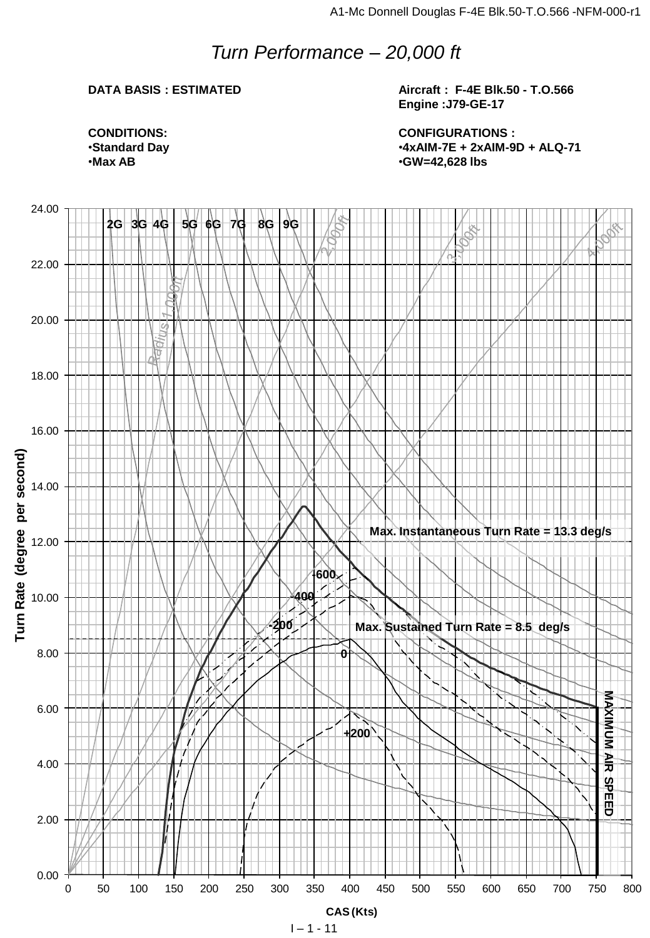### *Turn Performance – 20,000 ft*

### **DATA BASIS : ESTIMATED**

**Aircraft : F-4E Blk.50 - T.O.566 Engine :J79-GE-17**

**CONFIGURATIONS :** •**4xAIM-7E + 2xAIM-9D + ALQ-71** •**GW=42,628 lbs**

**CONDITIONS:** •**Standard Day** •**Max AB**

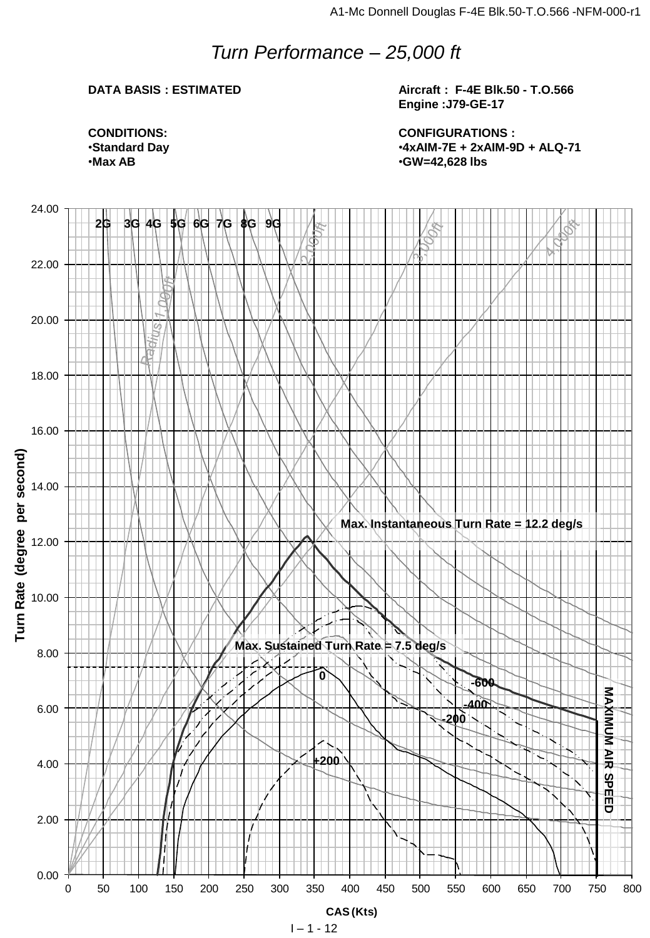# *Turn Performance – 25,000 ft*

### **DATA BASIS : ESTIMATED**

**Aircraft : F-4E Blk.50 - T.O.566 Engine :J79-GE-17**

**CONFIGURATIONS :** •**4xAIM-7E + 2xAIM-9D + ALQ-71** •**GW=42,628 lbs**

**CONDITIONS:** •**Standard Day** •**Max AB**

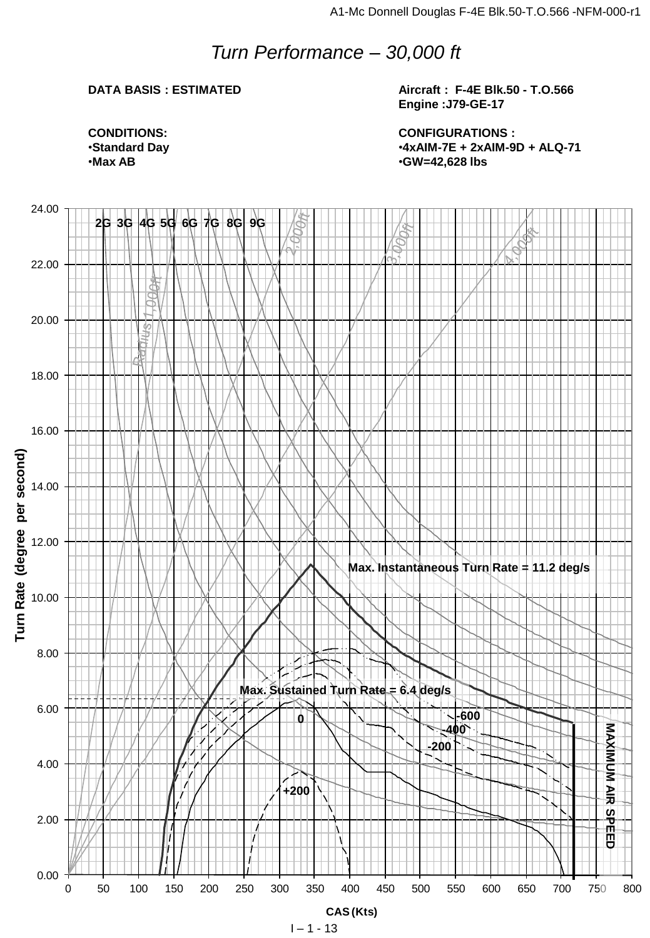# *Turn Performance – 30,000 ft*

### **DATA BASIS : ESTIMATED**

**Aircraft : F-4E Blk.50 - T.O.566 Engine :J79-GE-17**

**CONFIGURATIONS :** •**4xAIM-7E + 2xAIM-9D + ALQ-71** •**GW=42,628 lbs**

**CONDITIONS:** •**Standard Day** •**Max AB**

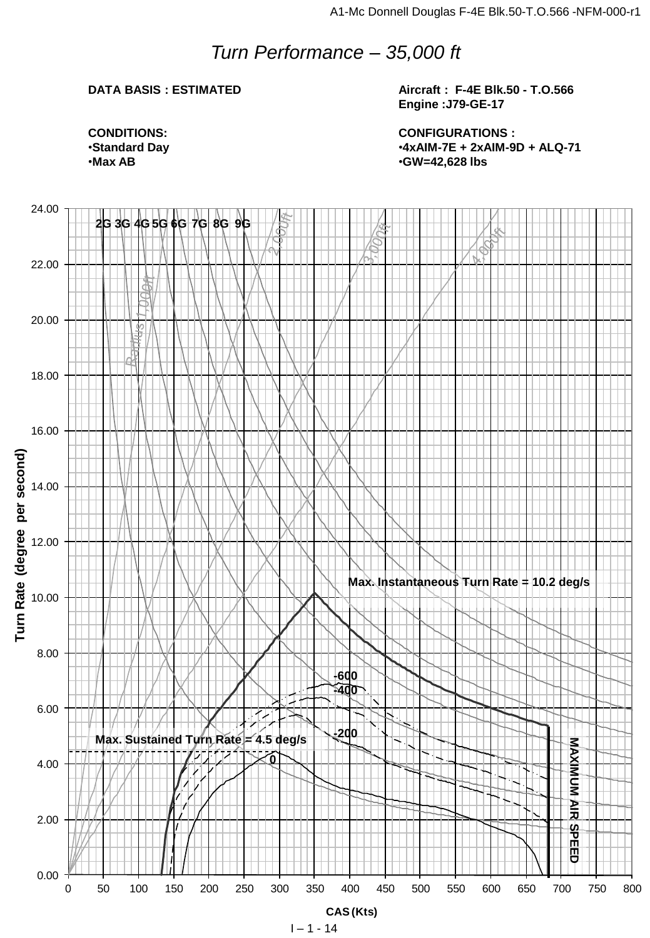# *Turn Performance – 35,000 ft*

### **DATA BASIS : ESTIMATED**

**Aircraft : F-4E Blk.50 - T.O.566 Engine :J79-GE-17**

**CONDITIONS:** •**Standard Day** •**Max AB**

**CONFIGURATIONS :** •**4xAIM-7E + 2xAIM-9D + ALQ-71** •**GW=42,628 lbs**

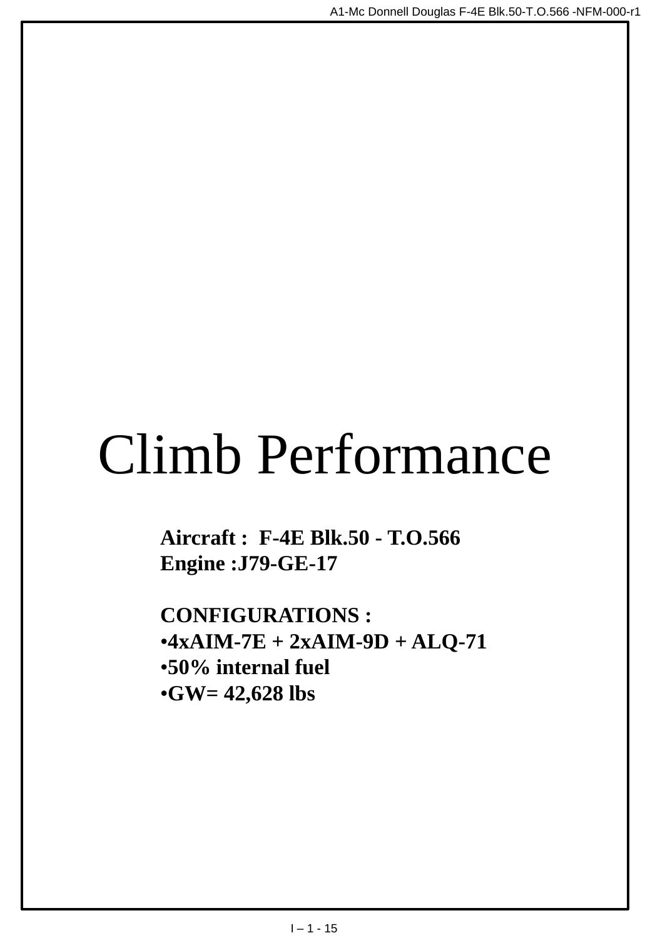# Climb Performance

**Aircraft : F-4E Blk.50 - T.O.566 Engine :J79-GE-17**

**CONFIGURATIONS :**  $•4xAIM-7E + 2xAIM-9D + ALO-71$ •**50% internal fuel** •**GW= 42,628 lbs**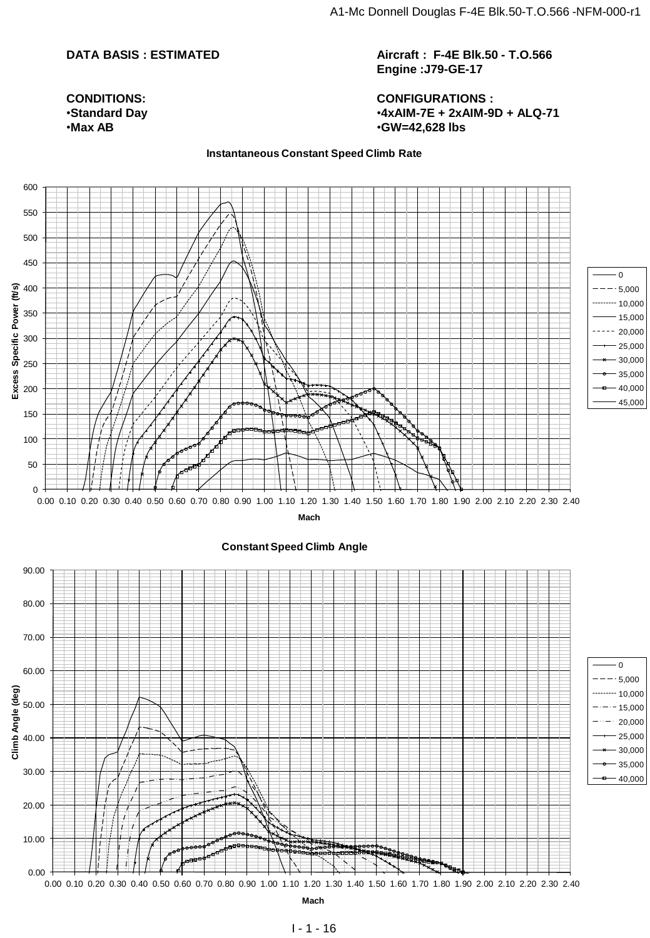**Aircraft : F-4E Blk.50 - T.O.566 Engine :J79-GE-17**

**CONFIGURATIONS :** •**4xAIM-7E + 2xAIM-9D + ALQ-71** •**GW=42,628 lbs**

#### **Instantaneous Constant Speed Climb Rate**





**CONDITIONS:** •**Standard Day** •**Max AB**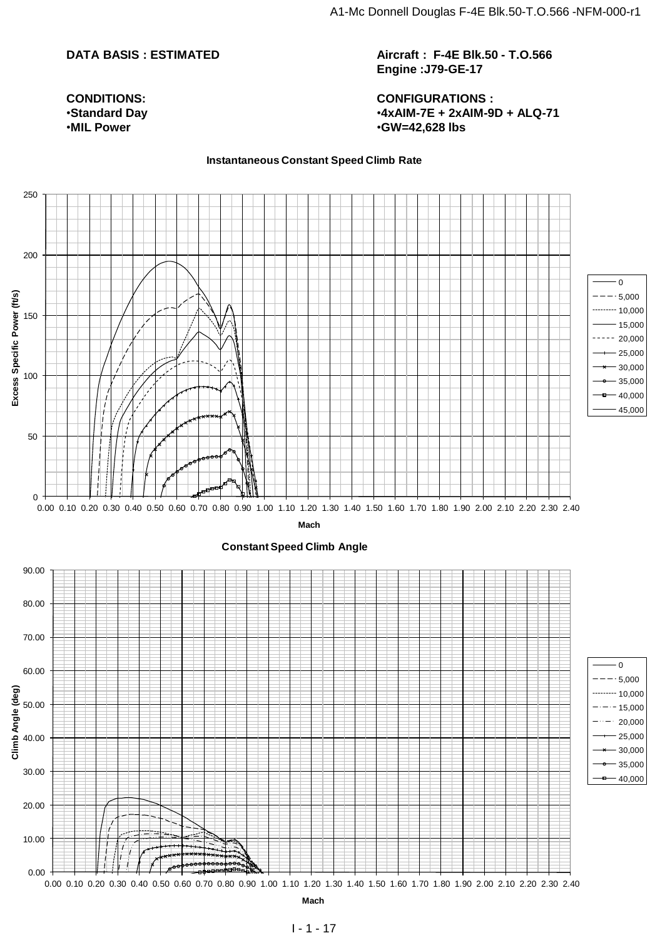**CONDITIONS:** •**Standard Day** •**MIL Power**

**Aircraft : F-4E Blk.50 - T.O.566 Engine :J79-GE-17**

**CONFIGURATIONS :** •**4xAIM-7E + 2xAIM-9D + ALQ-71** •**GW=42,628 lbs**

#### **Instantaneous Constant Speed Climb Rate**

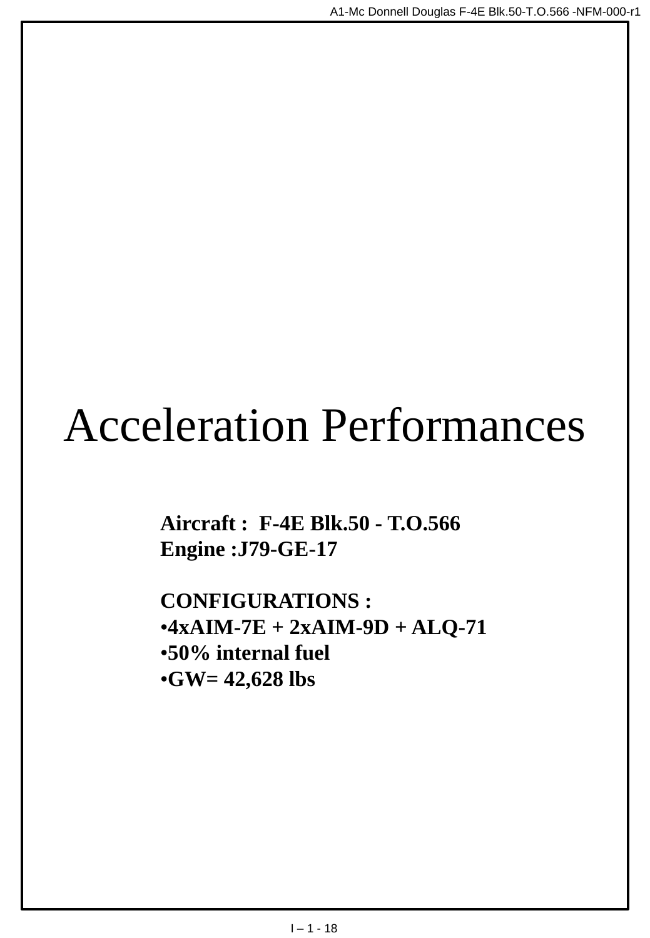# Acceleration Performances

**Aircraft : F-4E Blk.50 - T.O.566 Engine :J79-GE-17**

**CONFIGURATIONS :**  $•4xAIM-7E + 2xAIM-9D + ALO-71$ •**50% internal fuel** •**GW= 42,628 lbs**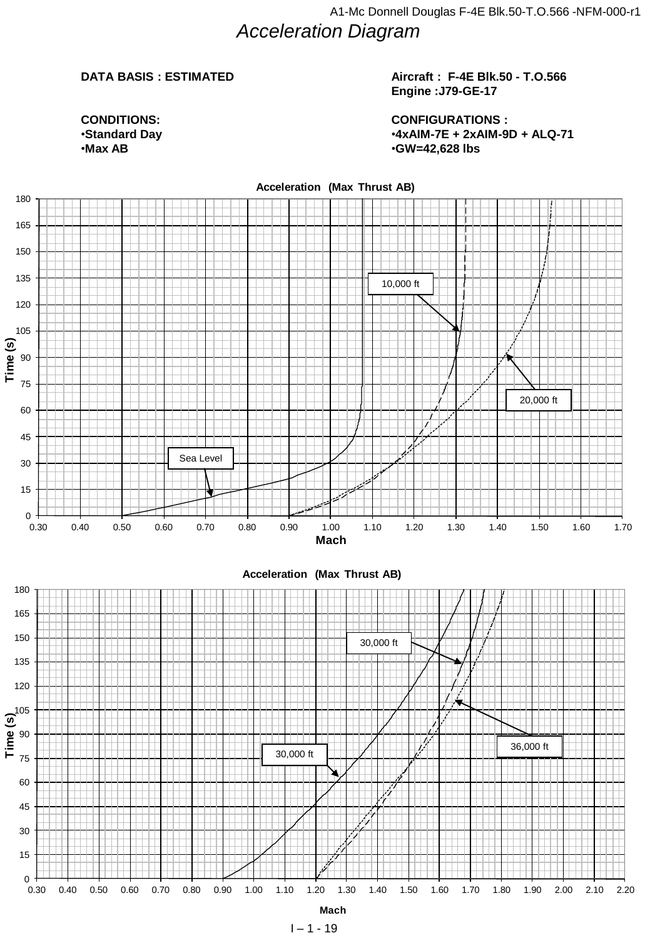**CONDITIONS:** •**Standard Day** •**Max AB**

### **Aircraft : F-4E Blk.50 - T.O.566 Engine :J79-GE-17**

**CONFIGURATIONS :** •**4xAIM-7E + 2xAIM-9D + ALQ-71** •**GW=42,628 lbs**



 $1 - 1 - 19$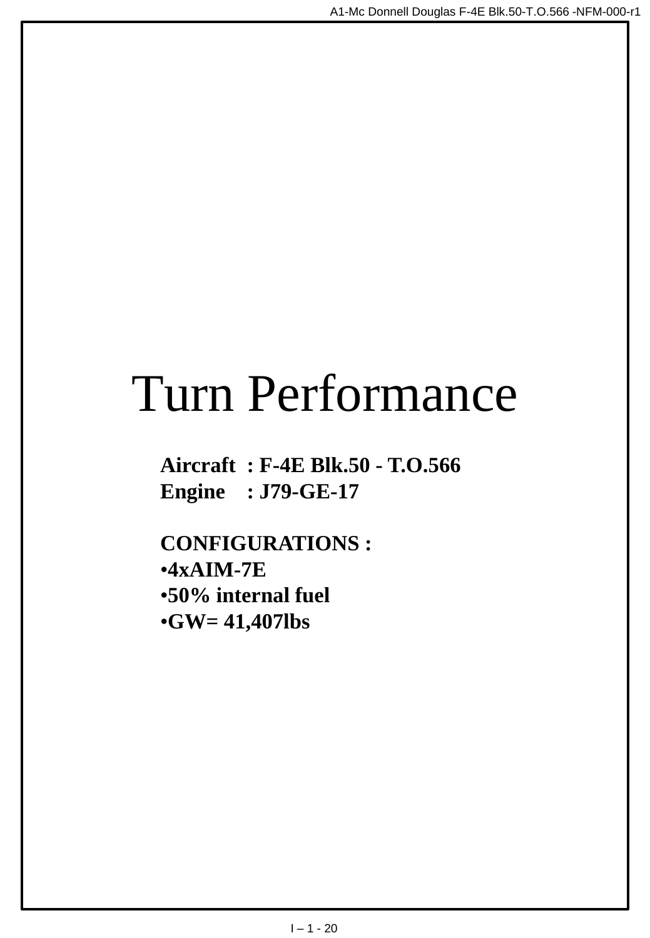# Turn Performance

**Aircraft : F-4E Blk.50 - T.O.566 Engine : J79-GE-17**

**CONFIGURATIONS :** •**4xAIM-7E** •**50% internal fuel** •**GW= 41,407lbs**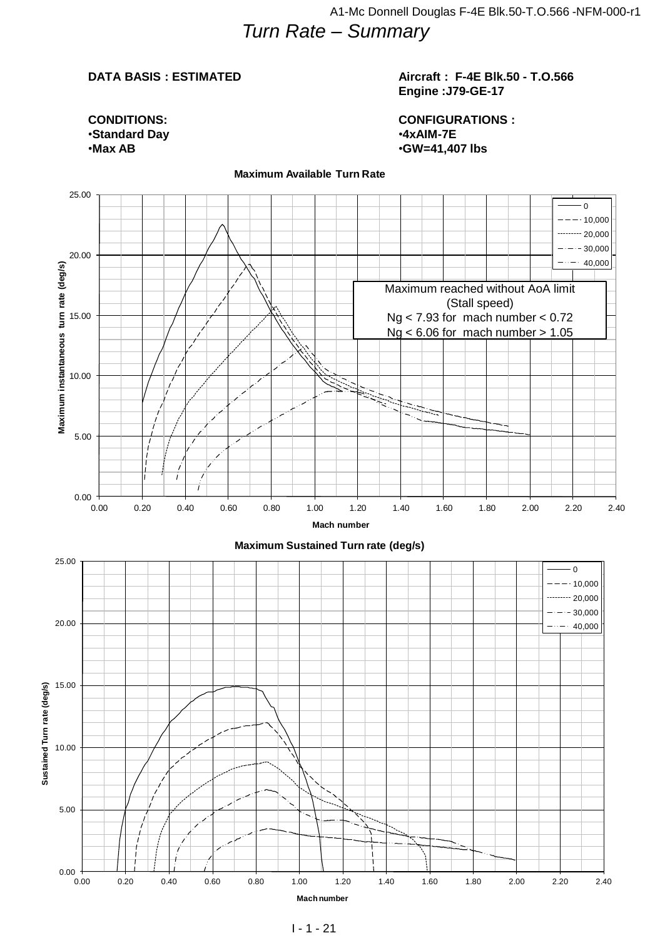### **Aircraft : F-4E Blk.50 - T.O.566 Engine :J79-GE-17**

**CONDITIONS:** •**Standard Day** •**Max AB**

**CONFIGURATIONS :** •**4xAIM-7E** •**GW=41,407 lbs**



#### **Maximum Available Turn Rate**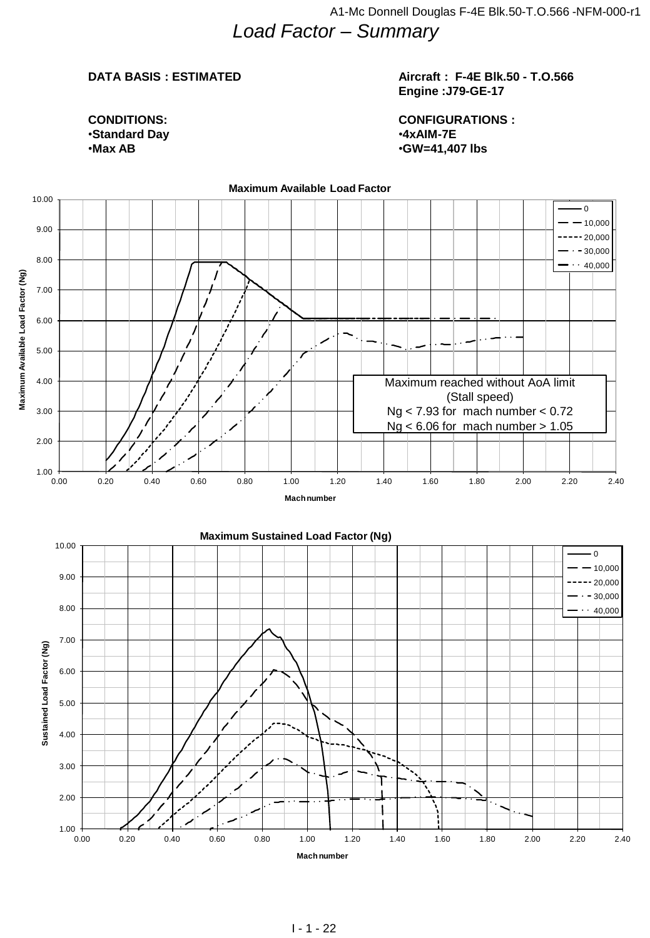### **Aircraft : F-4E Blk.50 - T.O.566 Engine :J79-GE-17**

**CONDITIONS:** •**Standard Day** •**Max AB**

**CONFIGURATIONS :** •**4xAIM-7E** •**GW=41,407 lbs**

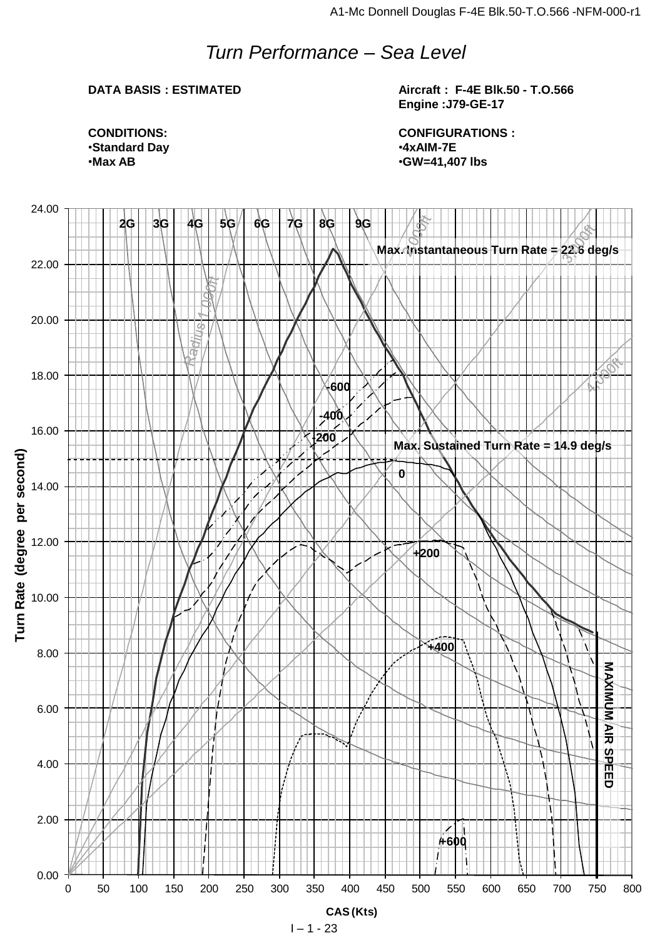# *Turn Performance – Sea Level*

### **DATA BASIS : ESTIMATED**

**Aircraft : F-4E Blk.50 - T.O.566 Engine :J79-GE-17**

**CONFIGURATIONS :** •**4xAIM-7E** •**GW=41,407 lbs**

**CONDITIONS:** •**Standard Day** •**Max AB**

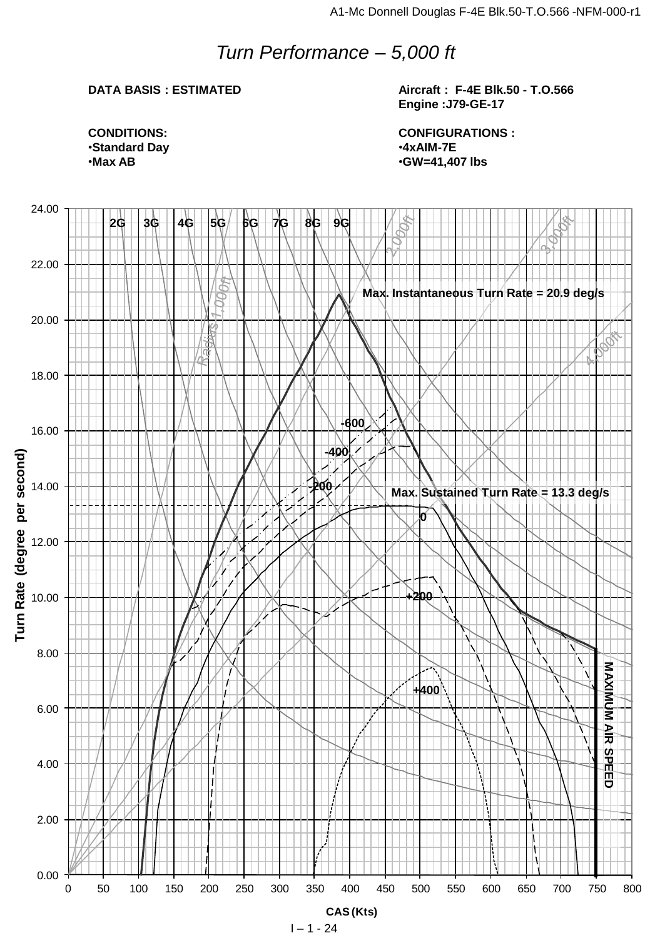# *Turn Performance – 5,000 ft*

### **DATA BASIS : ESTIMATED**

**Aircraft : F-4E Blk.50 - T.O.566 Engine :J79-GE-17**

**CONFIGURATIONS :** •**4xAIM-7E** •**GW=41,407 lbs**

**CONDITIONS:** •**Standard Day** •**Max AB**

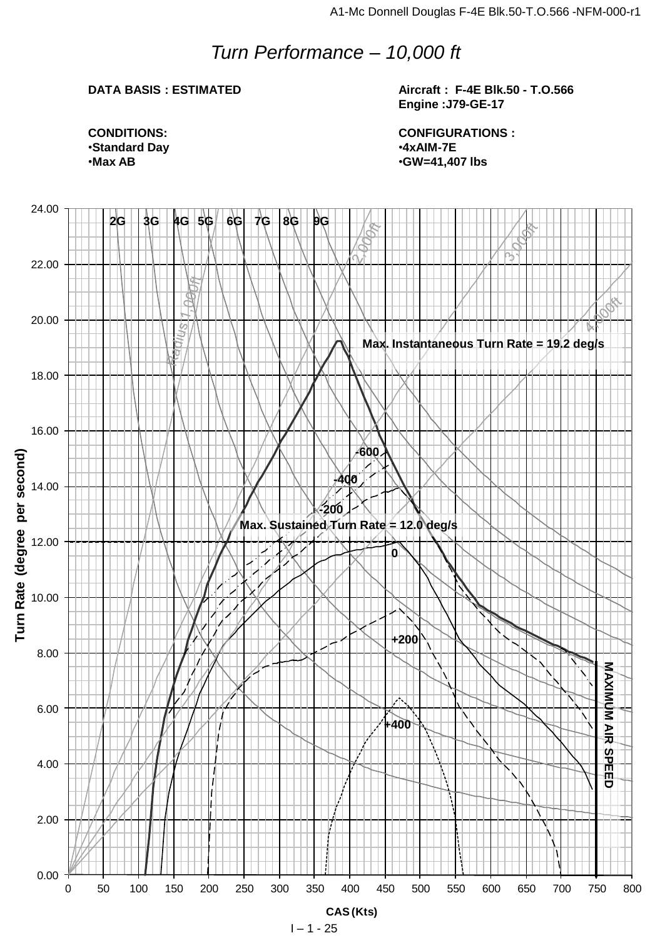# *Turn Performance – 10,000 ft*

### **DATA BASIS : ESTIMATED**

**Aircraft : F-4E Blk.50 - T.O.566 Engine :J79-GE-17**

**CONDITIONS:** •**Standard Day** •**Max AB**

**CONFIGURATIONS :** •**4xAIM-7E** •**GW=41,407 lbs**



 $1 - 1 - 25$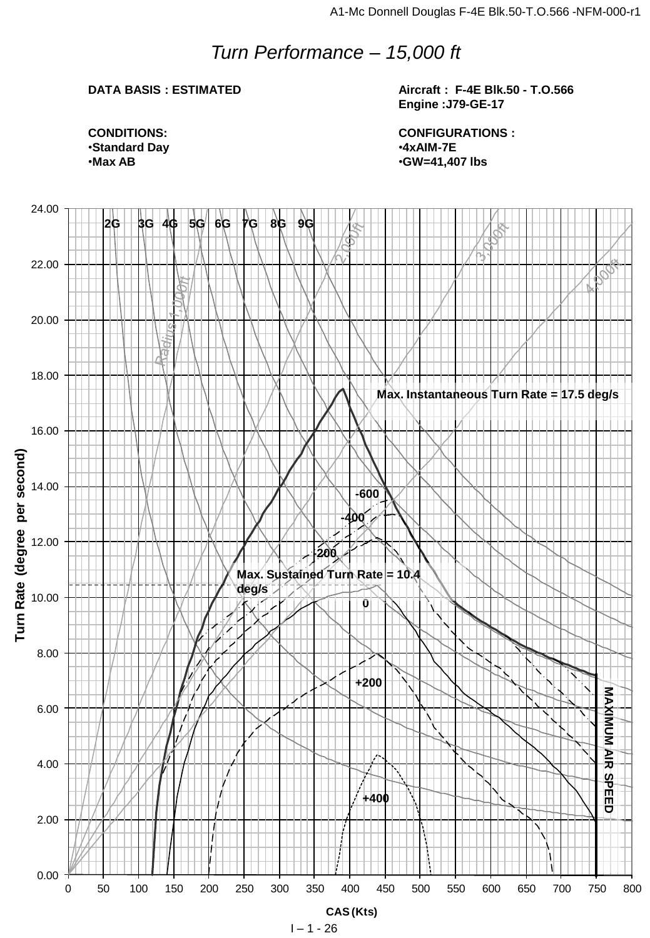# *Turn Performance – 15,000 ft*

### **DATA BASIS : ESTIMATED**

**Aircraft : F-4E Blk.50 - T.O.566 Engine :J79-GE-17**

**CONDITIONS:** •**Standard Day** •**Max AB**

**CONFIGURATIONS :** •**4xAIM-7E** •**GW=41,407 lbs**

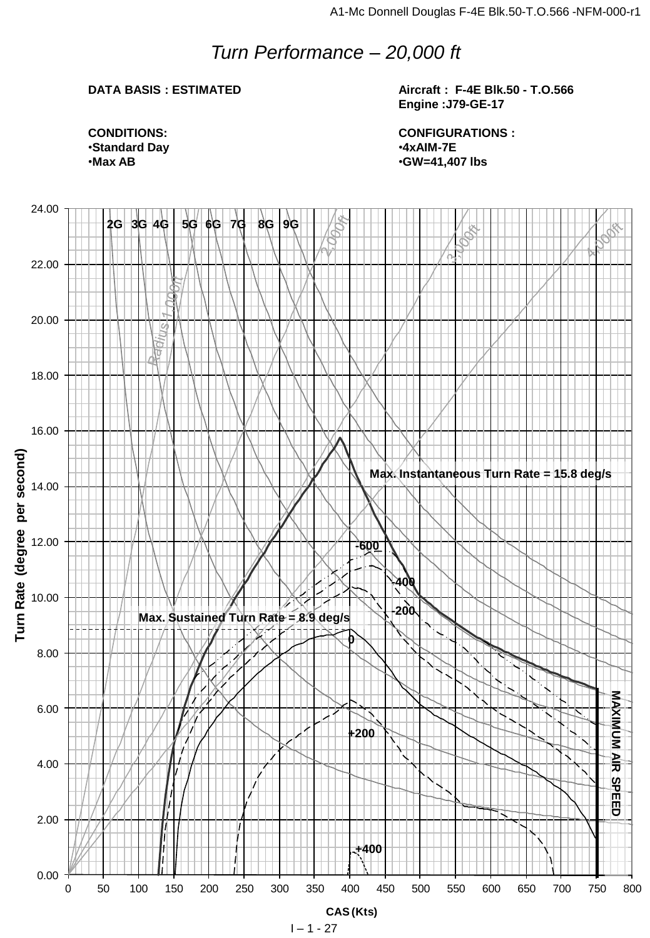# *Turn Performance – 20,000 ft*

### **DATA BASIS : ESTIMATED**

**Aircraft : F-4E Blk.50 - T.O.566 Engine :J79-GE-17**

**CONDITIONS:** •**Standard Day** •**Max AB**

**CONFIGURATIONS :** •**4xAIM-7E** •**GW=41,407 lbs**

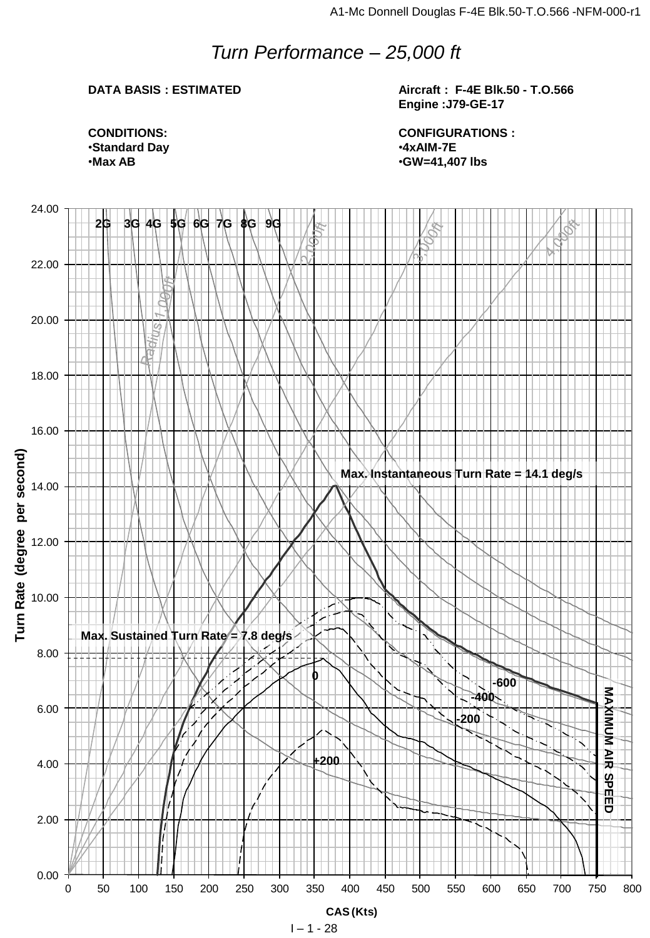# *Turn Performance – 25,000 ft*

### **DATA BASIS : ESTIMATED**

**Aircraft : F-4E Blk.50 - T.O.566 Engine :J79-GE-17**

**CONDITIONS:** •**Standard Day** •**Max AB**

**CONFIGURATIONS :** •**4xAIM-7E** •**GW=41,407 lbs**

![](_page_27_Figure_6.jpeg)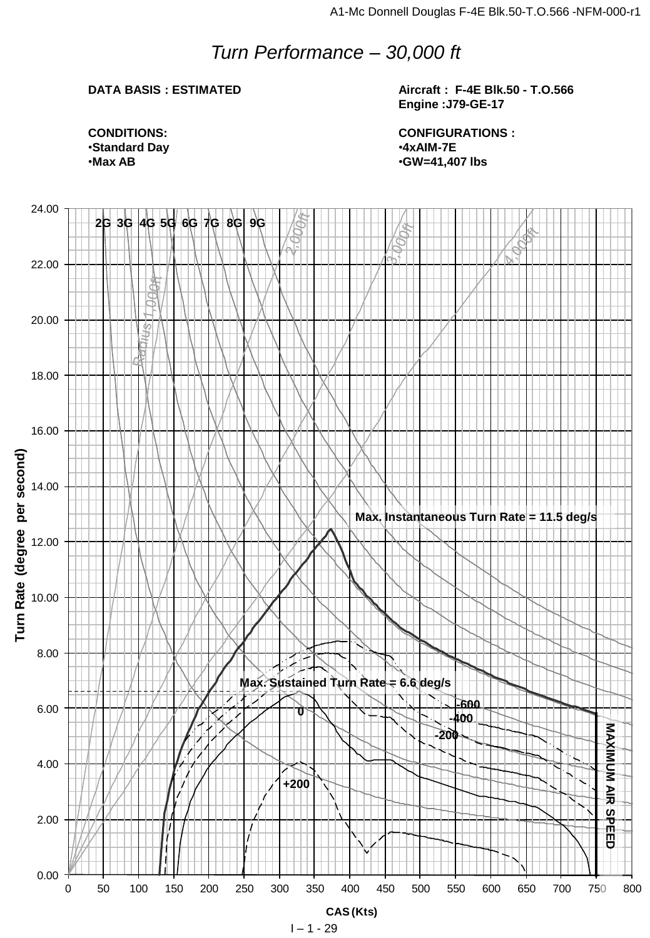# *Turn Performance – 30,000 ft*

### **DATA BASIS : ESTIMATED**

**Aircraft : F-4E Blk.50 - T.O.566 Engine :J79-GE-17**

**CONDITIONS:** •**Standard Day** •**Max AB**

**CONFIGURATIONS :** •**4xAIM-7E** •**GW=41,407 lbs**

![](_page_28_Figure_6.jpeg)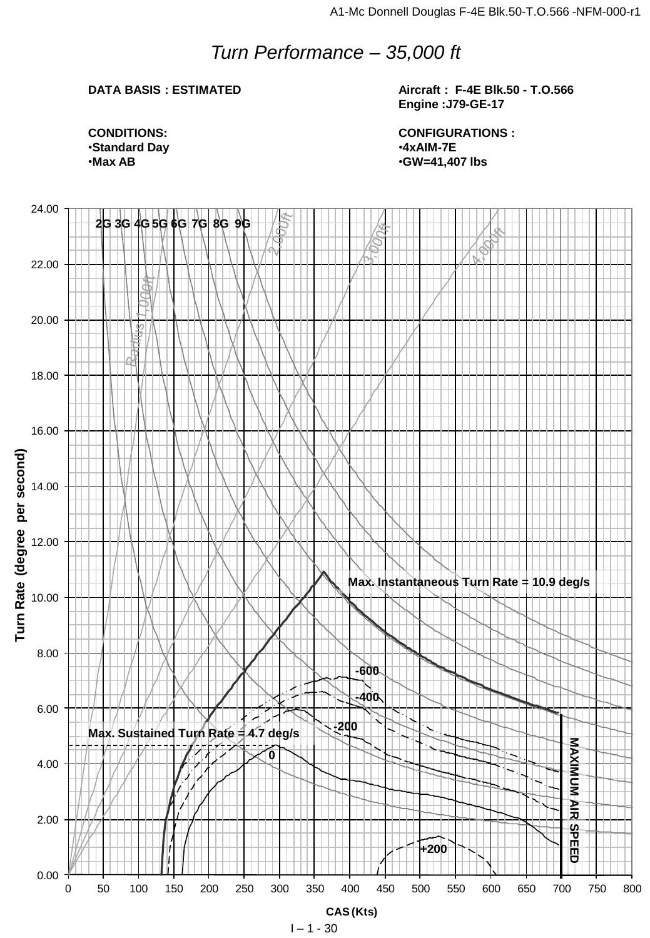# *Turn Performance – 35,000 ft*

### **DATA BASIS : ESTIMATED**

**Aircraft : F-4E Blk.50 - T.O.566 Engine :J79-GE-17**

**CONDITIONS:** •**Standard Day** •**Max AB**

**CONFIGURATIONS :** •**4xAIM-7E** •**GW=41,407 lbs**

![](_page_29_Figure_6.jpeg)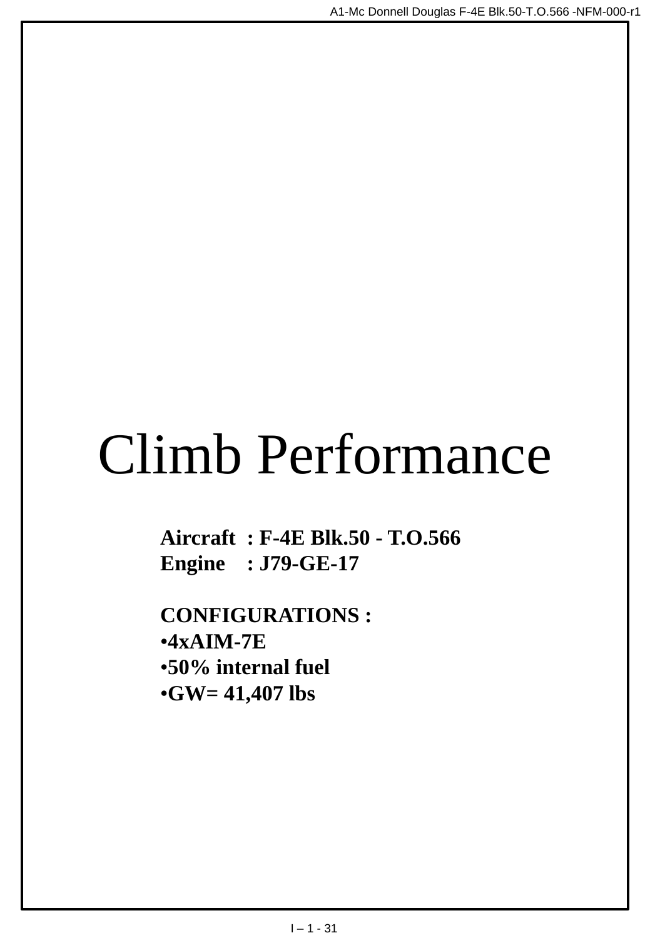# Climb Performance

**Aircraft : F-4E Blk.50 - T.O.566 Engine : J79-GE-17**

**CONFIGURATIONS :** •**4xAIM-7E** •**50% internal fuel** •**GW= 41,407 lbs**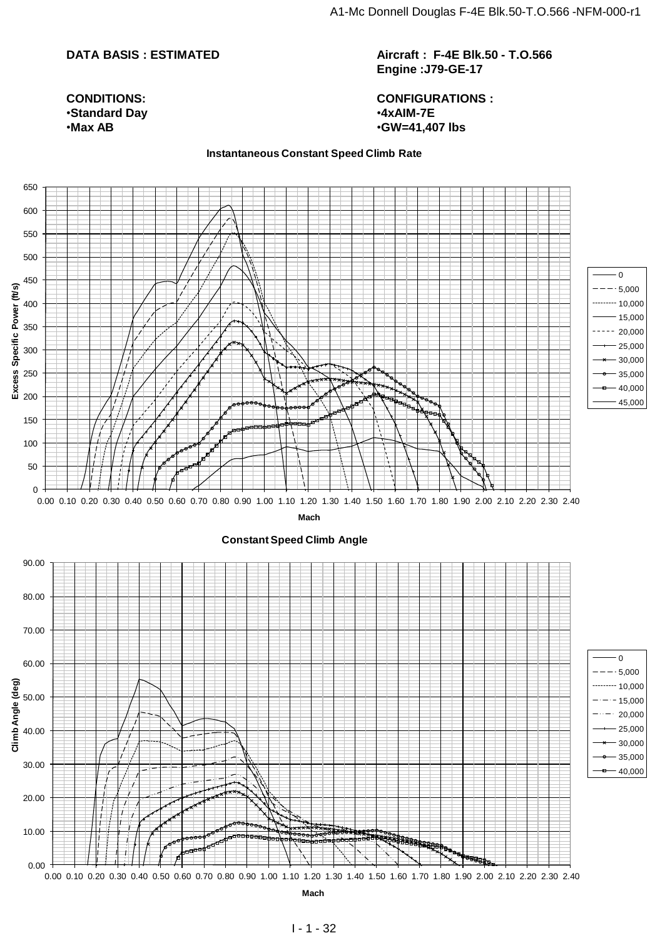**Aircraft : F-4E Blk.50 - T.O.566 Engine :J79-GE-17**

### **CONFIGURATIONS :** •**4xAIM-7E** •**GW=41,407 lbs**

**CONDITIONS:** •**Standard Day** •**Max AB**

**Instantaneous Constant Speed Climb Rate**

![](_page_31_Figure_6.jpeg)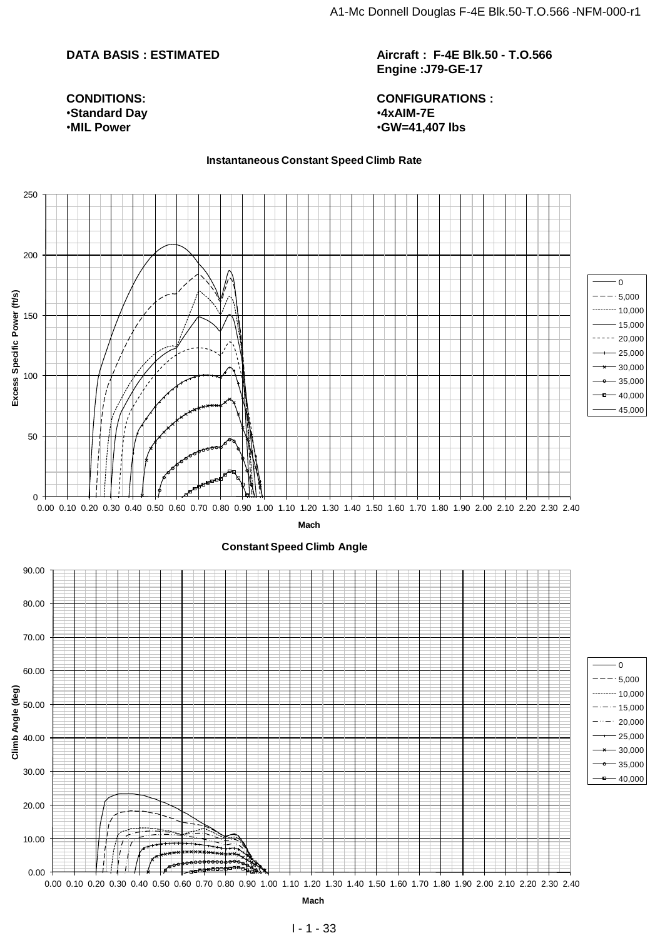**CONDITIONS:** •**Standard Day** •**MIL Power**

**Aircraft : F-4E Blk.50 - T.O.566 Engine :J79-GE-17**

**CONFIGURATIONS :** •**4xAIM-7E** •**GW=41,407 lbs**

#### **Instantaneous Constant Speed Climb Rate**

![](_page_32_Figure_5.jpeg)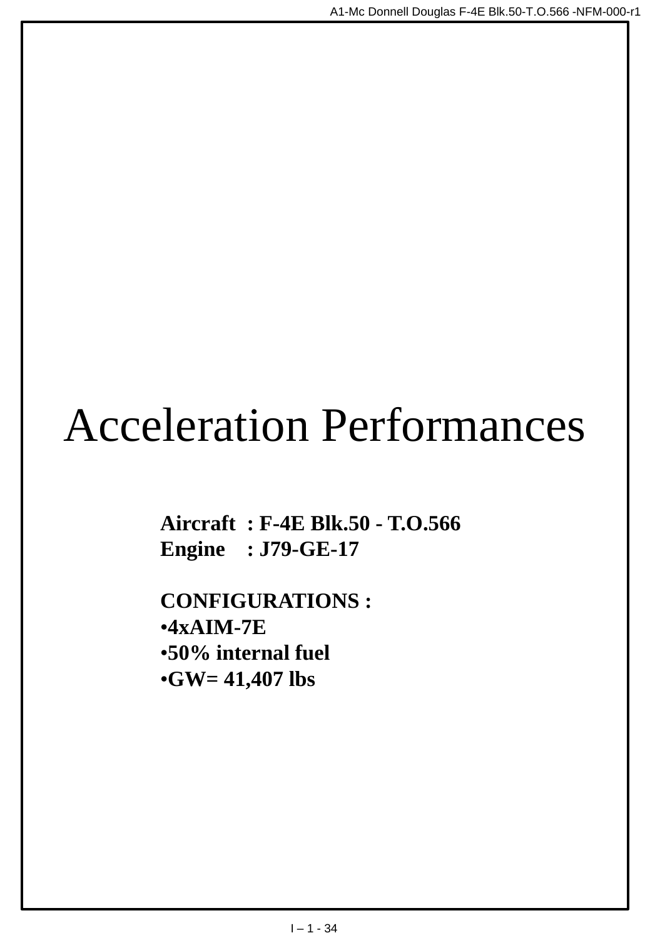# Acceleration Performances

**Aircraft : F-4E Blk.50 - T.O.566 Engine : J79-GE-17**

**CONFIGURATIONS :** •**4xAIM-7E** •**50% internal fuel** •**GW= 41,407 lbs**